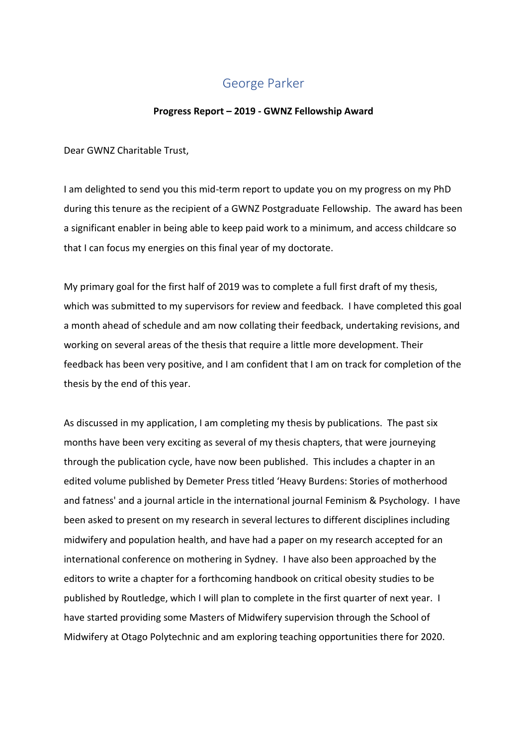## George Parker

## **Progress Report – 2019 - GWNZ Fellowship Award**

Dear GWNZ Charitable Trust,

I am delighted to send you this mid-term report to update you on my progress on my PhD during this tenure as the recipient of a GWNZ Postgraduate Fellowship. The award has been a significant enabler in being able to keep paid work to a minimum, and access childcare so that I can focus my energies on this final year of my doctorate.

My primary goal for the first half of 2019 was to complete a full first draft of my thesis, which was submitted to my supervisors for review and feedback. I have completed this goal a month ahead of schedule and am now collating their feedback, undertaking revisions, and working on several areas of the thesis that require a little more development. Their feedback has been very positive, and I am confident that I am on track for completion of the thesis by the end of this year.

As discussed in my application, I am completing my thesis by publications. The past six months have been very exciting as several of my thesis chapters, that were journeying through the publication cycle, have now been published. This includes a chapter in an edited volume published by Demeter Press titled 'Heavy Burdens: Stories of motherhood and fatness' and a journal article in the international journal Feminism & Psychology. I have been asked to present on my research in several lectures to different disciplines including midwifery and population health, and have had a paper on my research accepted for an international conference on mothering in Sydney. I have also been approached by the editors to write a chapter for a forthcoming handbook on critical obesity studies to be published by Routledge, which I will plan to complete in the first quarter of next year. I have started providing some Masters of Midwifery supervision through the School of Midwifery at Otago Polytechnic and am exploring teaching opportunities there for 2020.